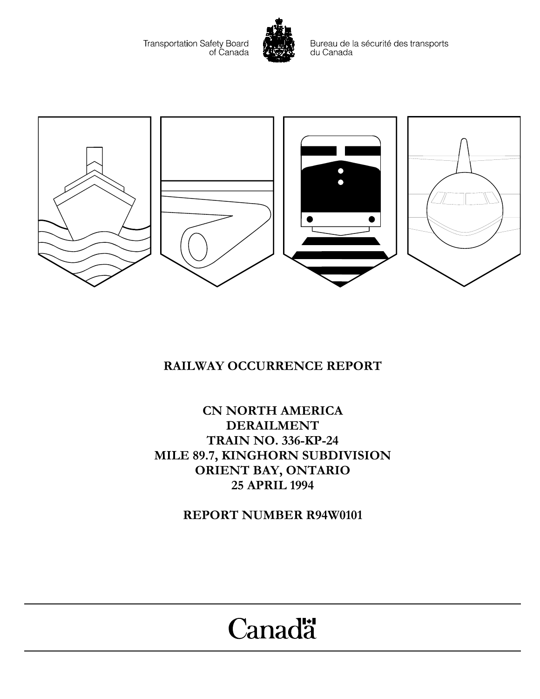Transportation Safety Board<br>of Canada



Bureau de la sécurité des transports du Canada



## **RAILWAY OCCURRENCE REPORT**

**CN NORTH AMERICA DERAILMENT TRAIN NO. 336-KP-24 MILE 89.7, KINGHORN SUBDIVISION ORIENT BAY, ONTARIO 25 APRIL 1994**

**REPORT NUMBER R94W0101**

# Canadä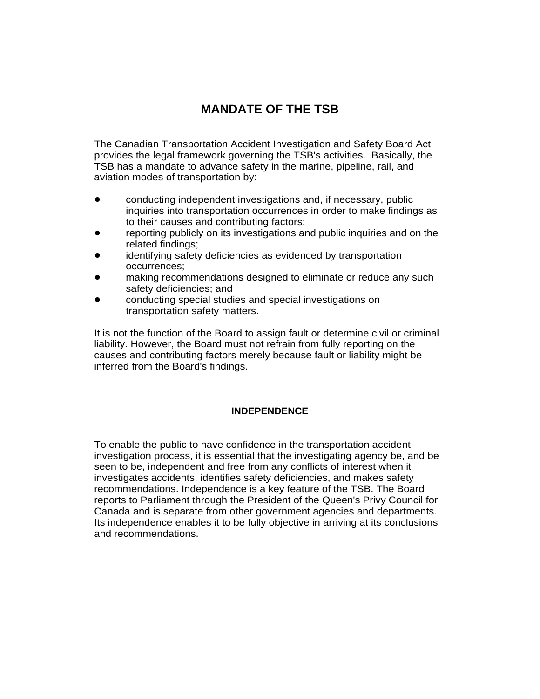### **MANDATE OF THE TSB**

The Canadian Transportation Accident Investigation and Safety Board Act provides the legal framework governing the TSB's activities. Basically, the TSB has a mandate to advance safety in the marine, pipeline, rail, and aviation modes of transportation by:

- conducting independent investigations and, if necessary, public inquiries into transportation occurrences in order to make findings as to their causes and contributing factors;
- reporting publicly on its investigations and public inquiries and on the related findings;
- identifying safety deficiencies as evidenced by transportation occurrences;
- making recommendations designed to eliminate or reduce any such safety deficiencies; and
- conducting special studies and special investigations on transportation safety matters.

It is not the function of the Board to assign fault or determine civil or criminal liability. However, the Board must not refrain from fully reporting on the causes and contributing factors merely because fault or liability might be inferred from the Board's findings.

#### **INDEPENDENCE**

To enable the public to have confidence in the transportation accident investigation process, it is essential that the investigating agency be, and be seen to be, independent and free from any conflicts of interest when it investigates accidents, identifies safety deficiencies, and makes safety recommendations. Independence is a key feature of the TSB. The Board reports to Parliament through the President of the Queen's Privy Council for Canada and is separate from other government agencies and departments. Its independence enables it to be fully objective in arriving at its conclusions and recommendations.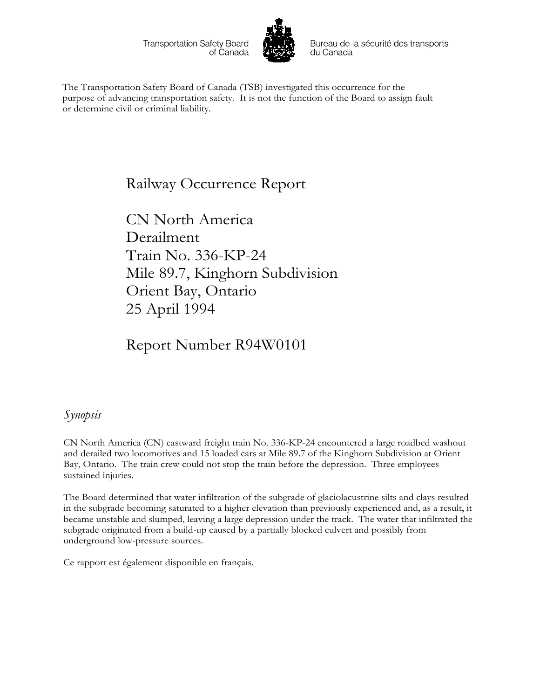Transportation Safety Board of Canada



Bureau de la sécurité des transports du Canada

The Transportation Safety Board of Canada (TSB) investigated this occurrence for the purpose of advancing transportation safety. It is not the function of the Board to assign fault or determine civil or criminal liability.

# Railway Occurrence Report

CN North America Derailment Train No. 336-KP-24 Mile 89.7, Kinghorn Subdivision Orient Bay, Ontario 25 April 1994

Report Number R94W0101

### *Synopsis*

CN North America (CN) eastward freight train No. 336-KP-24 encountered a large roadbed washout and derailed two locomotives and 15 loaded cars at Mile 89.7 of the Kinghorn Subdivision at Orient Bay, Ontario. The train crew could not stop the train before the depression. Three employees sustained injuries.

The Board determined that water infiltration of the subgrade of glaciolacustrine silts and clays resulted in the subgrade becoming saturated to a higher elevation than previously experienced and, as a result, it became unstable and slumped, leaving a large depression under the track. The water that infiltrated the subgrade originated from a build-up caused by a partially blocked culvert and possibly from underground low-pressure sources.

Ce rapport est également disponible en français.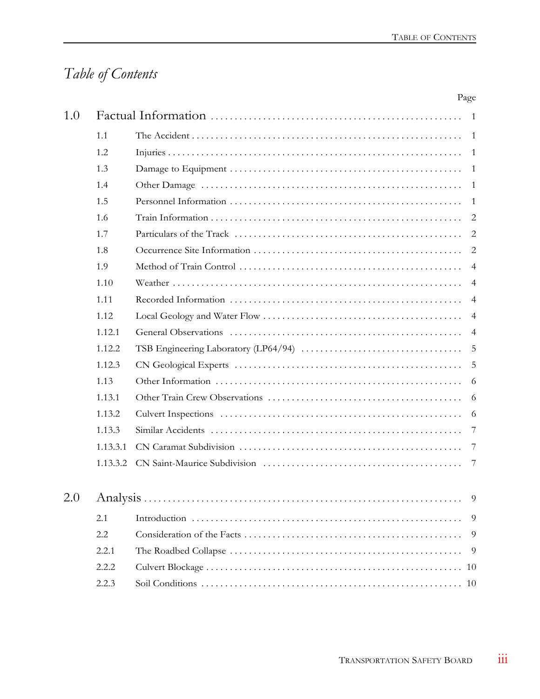# *Table of Contents*

|     |          |  | Page           |
|-----|----------|--|----------------|
| 1.0 |          |  | $\overline{1}$ |
|     | 1.1      |  | -1             |
|     | 1.2      |  | -1             |
|     | 1.3      |  | -1             |
|     | 1.4      |  | -1             |
|     | 1.5      |  | -1             |
|     | 1.6      |  | 2              |
|     | 1.7      |  | 2              |
|     | 1.8      |  | $\overline{2}$ |
|     | 1.9      |  | $\overline{4}$ |
|     | 1.10     |  | $\overline{4}$ |
|     | 1.11     |  | $\overline{4}$ |
|     | 1.12     |  | $\overline{4}$ |
|     | 1.12.1   |  | $\overline{4}$ |
|     | 1.12.2   |  | 5              |
|     | 1.12.3   |  | 5              |
|     | 1.13     |  | 6              |
|     | 1.13.1   |  | 6              |
|     | 1.13.2   |  | 6              |
|     | 1.13.3   |  | 7              |
|     | 1.13.3.1 |  | 7              |
|     | 1.13.3.2 |  | 7              |
| 2.0 |          |  | 9              |
|     | 2.1      |  | 9              |
|     | 2.2      |  | 9              |
|     | 2.2.1    |  | 9              |
|     | 2.2.2    |  | -10            |
|     | 2.2.3    |  | -10            |
|     |          |  |                |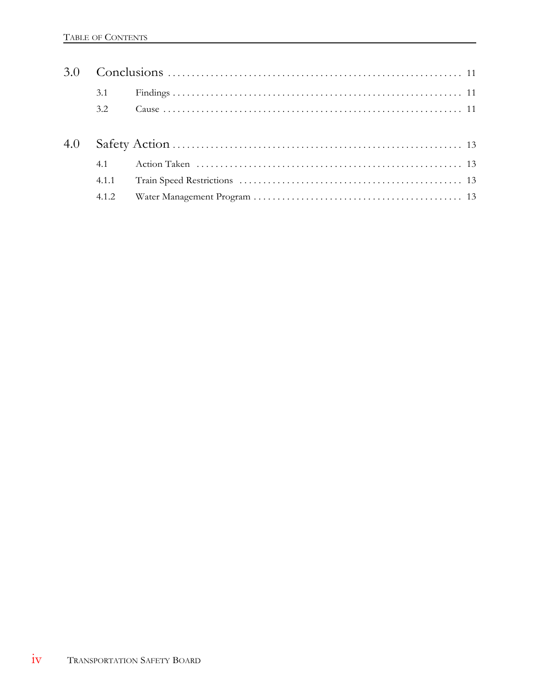|     | 3.1   |  |  |  |  |
|-----|-------|--|--|--|--|
|     | 3.2   |  |  |  |  |
| 4.0 |       |  |  |  |  |
|     | 4.1   |  |  |  |  |
|     | 4.1.1 |  |  |  |  |
|     |       |  |  |  |  |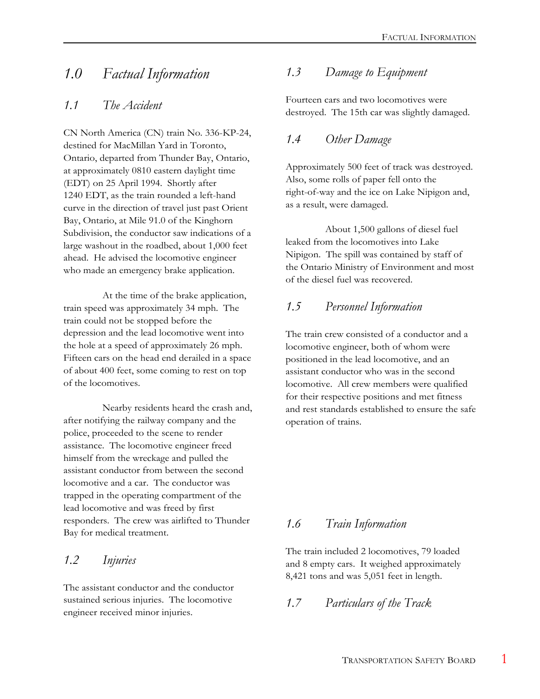# *1.0 Factual Information*

### *1.1 The Accident*

CN North America (CN) train No. 336-KP-24, destined for MacMillan Yard in Toronto, Ontario, departed from Thunder Bay, Ontario, at approximately 0810 eastern daylight time (EDT) on 25 April 1994. Shortly after 1240 EDT, as the train rounded a left-hand curve in the direction of travel just past Orient Bay, Ontario, at Mile 91.0 of the Kinghorn Subdivision, the conductor saw indications of a large washout in the roadbed, about 1,000 feet ahead. He advised the locomotive engineer who made an emergency brake application.

At the time of the brake application, train speed was approximately 34 mph. The train could not be stopped before the depression and the lead locomotive went into the hole at a speed of approximately 26 mph. Fifteen cars on the head end derailed in a space of about 400 feet, some coming to rest on top of the locomotives.

Nearby residents heard the crash and, after notifying the railway company and the police, proceeded to the scene to render assistance. The locomotive engineer freed himself from the wreckage and pulled the assistant conductor from between the second locomotive and a car. The conductor was trapped in the operating compartment of the lead locomotive and was freed by first responders. The crew was airlifted to Thunder Bay for medical treatment.

### *1.2 Injuries*

The assistant conductor and the conductor sustained serious injuries. The locomotive engineer received minor injuries.

### *1.3 Damage to Equipment*

Fourteen cars and two locomotives were destroyed. The 15th car was slightly damaged.

### *1.4 Other Damage*

Approximately 500 feet of track was destroyed. Also, some rolls of paper fell onto the right-of-way and the ice on Lake Nipigon and, as a result, were damaged.

About 1,500 gallons of diesel fuel leaked from the locomotives into Lake Nipigon. The spill was contained by staff of the Ontario Ministry of Environment and most of the diesel fuel was recovered.

### *1.5 Personnel Information*

The train crew consisted of a conductor and a locomotive engineer, both of whom were positioned in the lead locomotive, and an assistant conductor who was in the second locomotive. All crew members were qualified for their respective positions and met fitness and rest standards established to ensure the safe operation of trains.

### *1.6 Train Information*

The train included 2 locomotives, 79 loaded and 8 empty cars. It weighed approximately 8,421 tons and was 5,051 feet in length.

### *1.7 Particulars of the Track*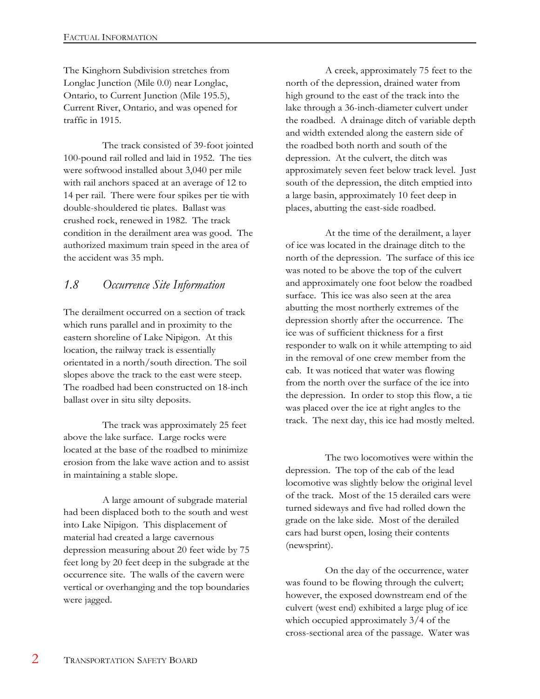The Kinghorn Subdivision stretches from Longlac Junction (Mile 0.0) near Longlac, Ontario, to Current Junction (Mile 195.5), Current River, Ontario, and was opened for traffic in 1915.

The track consisted of 39-foot jointed 100-pound rail rolled and laid in 1952. The ties were softwood installed about 3,040 per mile with rail anchors spaced at an average of 12 to 14 per rail. There were four spikes per tie with double-shouldered tie plates. Ballast was crushed rock, renewed in 1982. The track condition in the derailment area was good. The authorized maximum train speed in the area of the accident was 35 mph.

### *1.8 Occurrence Site Information*

The derailment occurred on a section of track which runs parallel and in proximity to the eastern shoreline of Lake Nipigon. At this location, the railway track is essentially orientated in a north/south direction. The soil slopes above the track to the east were steep. The roadbed had been constructed on 18-inch ballast over in situ silty deposits.

The track was approximately 25 feet above the lake surface. Large rocks were located at the base of the roadbed to minimize erosion from the lake wave action and to assist in maintaining a stable slope.

A large amount of subgrade material had been displaced both to the south and west into Lake Nipigon. This displacement of material had created a large cavernous depression measuring about 20 feet wide by 75 feet long by 20 feet deep in the subgrade at the occurrence site. The walls of the cavern were vertical or overhanging and the top boundaries were jagged.

A creek, approximately 75 feet to the north of the depression, drained water from high ground to the east of the track into the lake through a 36-inch-diameter culvert under the roadbed. A drainage ditch of variable depth and width extended along the eastern side of the roadbed both north and south of the depression. At the culvert, the ditch was approximately seven feet below track level. Just south of the depression, the ditch emptied into a large basin, approximately 10 feet deep in places, abutting the east-side roadbed.

At the time of the derailment, a layer of ice was located in the drainage ditch to the north of the depression. The surface of this ice was noted to be above the top of the culvert and approximately one foot below the roadbed surface. This ice was also seen at the area abutting the most northerly extremes of the depression shortly after the occurrence. The ice was of sufficient thickness for a first responder to walk on it while attempting to aid in the removal of one crew member from the cab. It was noticed that water was flowing from the north over the surface of the ice into the depression. In order to stop this flow, a tie was placed over the ice at right angles to the track. The next day, this ice had mostly melted.

The two locomotives were within the depression. The top of the cab of the lead locomotive was slightly below the original level of the track. Most of the 15 derailed cars were turned sideways and five had rolled down the grade on the lake side. Most of the derailed cars had burst open, losing their contents (newsprint).

On the day of the occurrence, water was found to be flowing through the culvert; however, the exposed downstream end of the culvert (west end) exhibited a large plug of ice which occupied approximately 3/4 of the cross-sectional area of the passage. Water was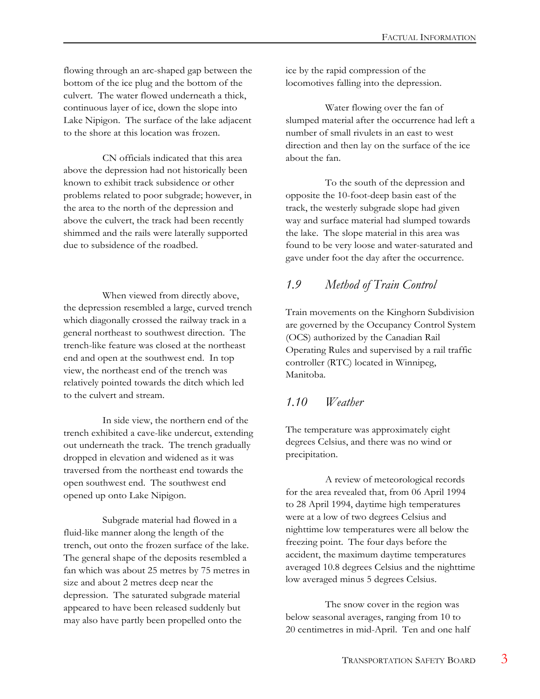flowing through an arc-shaped gap between the bottom of the ice plug and the bottom of the culvert. The water flowed underneath a thick, continuous layer of ice, down the slope into Lake Nipigon. The surface of the lake adjacent to the shore at this location was frozen.

CN officials indicated that this area above the depression had not historically been known to exhibit track subsidence or other problems related to poor subgrade; however, in the area to the north of the depression and above the culvert, the track had been recently shimmed and the rails were laterally supported due to subsidence of the roadbed.

When viewed from directly above, the depression resembled a large, curved trench which diagonally crossed the railway track in a general northeast to southwest direction. The trench-like feature was closed at the northeast end and open at the southwest end. In top view, the northeast end of the trench was relatively pointed towards the ditch which led to the culvert and stream.

In side view, the northern end of the trench exhibited a cave-like undercut, extending out underneath the track. The trench gradually dropped in elevation and widened as it was traversed from the northeast end towards the open southwest end. The southwest end opened up onto Lake Nipigon.

Subgrade material had flowed in a fluid-like manner along the length of the trench, out onto the frozen surface of the lake. The general shape of the deposits resembled a fan which was about 25 metres by 75 metres in size and about 2 metres deep near the depression. The saturated subgrade material appeared to have been released suddenly but may also have partly been propelled onto the

ice by the rapid compression of the locomotives falling into the depression.

Water flowing over the fan of slumped material after the occurrence had left a number of small rivulets in an east to west direction and then lay on the surface of the ice about the fan.

To the south of the depression and opposite the 10-foot-deep basin east of the track, the westerly subgrade slope had given way and surface material had slumped towards the lake. The slope material in this area was found to be very loose and water-saturated and gave under foot the day after the occurrence.

### *1.9 Method of Train Control*

Train movements on the Kinghorn Subdivision are governed by the Occupancy Control System (OCS) authorized by the Canadian Rail Operating Rules and supervised by a rail traffic controller (RTC) located in Winnipeg, Manitoba.

### *1.10 Weather*

The temperature was approximately eight degrees Celsius, and there was no wind or precipitation.

A review of meteorological records for the area revealed that, from 06 April 1994 to 28 April 1994, daytime high temperatures were at a low of two degrees Celsius and nighttime low temperatures were all below the freezing point. The four days before the accident, the maximum daytime temperatures averaged 10.8 degrees Celsius and the nighttime low averaged minus 5 degrees Celsius.

The snow cover in the region was below seasonal averages, ranging from 10 to 20 centimetres in mid-April. Ten and one half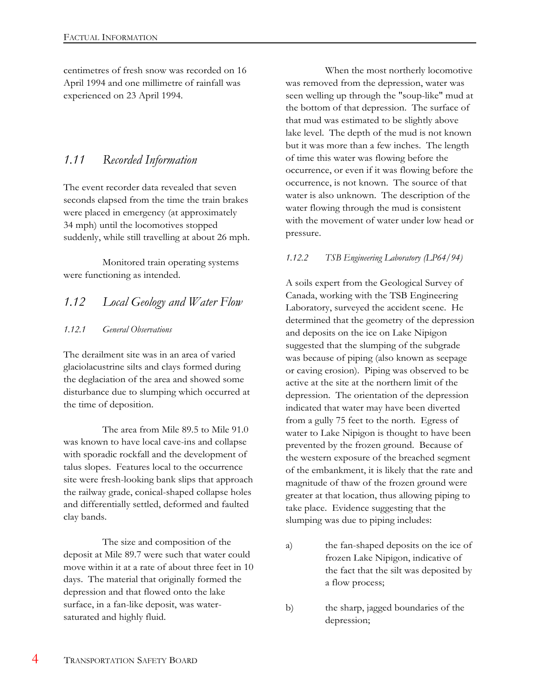centimetres of fresh snow was recorded on 16 April 1994 and one millimetre of rainfall was experienced on 23 April 1994.

### *1.11 Recorded Information*

The event recorder data revealed that seven seconds elapsed from the time the train brakes were placed in emergency (at approximately 34 mph) until the locomotives stopped suddenly, while still travelling at about 26 mph.

Monitored train operating systems were functioning as intended.

### *1.12 Local Geology and Water Flow*

#### *1.12.1 General Observations*

The derailment site was in an area of varied glaciolacustrine silts and clays formed during the deglaciation of the area and showed some disturbance due to slumping which occurred at the time of deposition.

The area from Mile 89.5 to Mile 91.0 was known to have local cave-ins and collapse with sporadic rockfall and the development of talus slopes. Features local to the occurrence site were fresh-looking bank slips that approach the railway grade, conical-shaped collapse holes and differentially settled, deformed and faulted clay bands.

The size and composition of the deposit at Mile 89.7 were such that water could move within it at a rate of about three feet in 10 days. The material that originally formed the depression and that flowed onto the lake surface, in a fan-like deposit, was watersaturated and highly fluid.

When the most northerly locomotive was removed from the depression, water was seen welling up through the "soup-like" mud at the bottom of that depression. The surface of that mud was estimated to be slightly above lake level. The depth of the mud is not known but it was more than a few inches. The length of time this water was flowing before the occurrence, or even if it was flowing before the occurrence, is not known. The source of that water is also unknown. The description of the water flowing through the mud is consistent with the movement of water under low head or pressure.

#### *1.12.2 TSB Engineering Laboratory (LP64/94)*

A soils expert from the Geological Survey of Canada, working with the TSB Engineering Laboratory, surveyed the accident scene. He determined that the geometry of the depression and deposits on the ice on Lake Nipigon suggested that the slumping of the subgrade was because of piping (also known as seepage or caving erosion). Piping was observed to be active at the site at the northern limit of the depression. The orientation of the depression indicated that water may have been diverted from a gully 75 feet to the north. Egress of water to Lake Nipigon is thought to have been prevented by the frozen ground. Because of the western exposure of the breached segment of the embankment, it is likely that the rate and magnitude of thaw of the frozen ground were greater at that location, thus allowing piping to take place. Evidence suggesting that the slumping was due to piping includes:

- a) the fan-shaped deposits on the ice of frozen Lake Nipigon, indicative of the fact that the silt was deposited by a flow process;
- b) the sharp, jagged boundaries of the depression;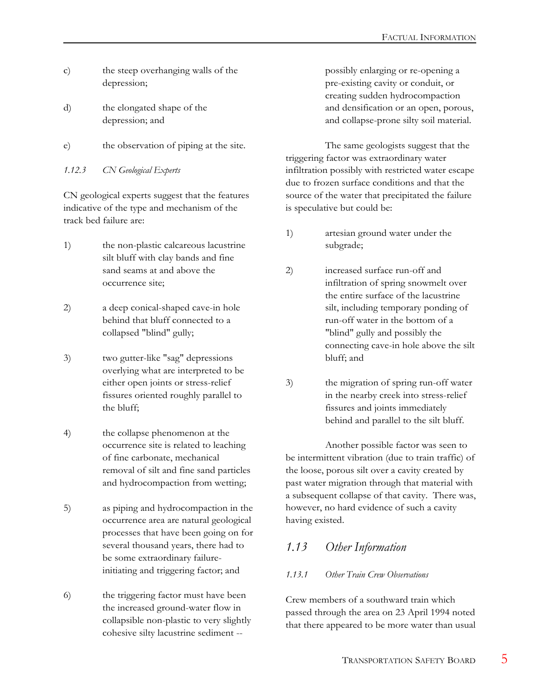- c) the steep overhanging walls of the depression;
- d) the elongated shape of the depression; and
- e) the observation of piping at the site.

*1.12.3 CN Geological Experts*

CN geological experts suggest that the features indicative of the type and mechanism of the track bed failure are:

- 1) the non-plastic calcareous lacustrine silt bluff with clay bands and fine sand seams at and above the occurrence site;
- 2) a deep conical-shaped cave-in hole behind that bluff connected to a collapsed "blind" gully;
- 3) two gutter-like "sag" depressions overlying what are interpreted to be either open joints or stress-relief fissures oriented roughly parallel to the bluff;
- 4) the collapse phenomenon at the occurrence site is related to leaching of fine carbonate, mechanical removal of silt and fine sand particles and hydrocompaction from wetting;
- 5) as piping and hydrocompaction in the occurrence area are natural geological processes that have been going on for several thousand years, there had to be some extraordinary failureinitiating and triggering factor; and
- 6) the triggering factor must have been the increased ground-water flow in collapsible non-plastic to very slightly cohesive silty lacustrine sediment --

possibly enlarging or re-opening a pre-existing cavity or conduit, or creating sudden hydrocompaction and densification or an open, porous, and collapse-prone silty soil material.

The same geologists suggest that the triggering factor was extraordinary water infiltration possibly with restricted water escape due to frozen surface conditions and that the source of the water that precipitated the failure is speculative but could be:

- 1) artesian ground water under the subgrade;
- 2) increased surface run-off and infiltration of spring snowmelt over the entire surface of the lacustrine silt, including temporary ponding of run-off water in the bottom of a "blind" gully and possibly the connecting cave-in hole above the silt bluff; and
- 3) the migration of spring run-off water in the nearby creek into stress-relief fissures and joints immediately behind and parallel to the silt bluff.

Another possible factor was seen to be intermittent vibration (due to train traffic) of the loose, porous silt over a cavity created by past water migration through that material with a subsequent collapse of that cavity. There was, however, no hard evidence of such a cavity having existed.

### *1.13 Other Information*

#### *1.13.1 Other Train Crew Observations*

Crew members of a southward train which passed through the area on 23 April 1994 noted that there appeared to be more water than usual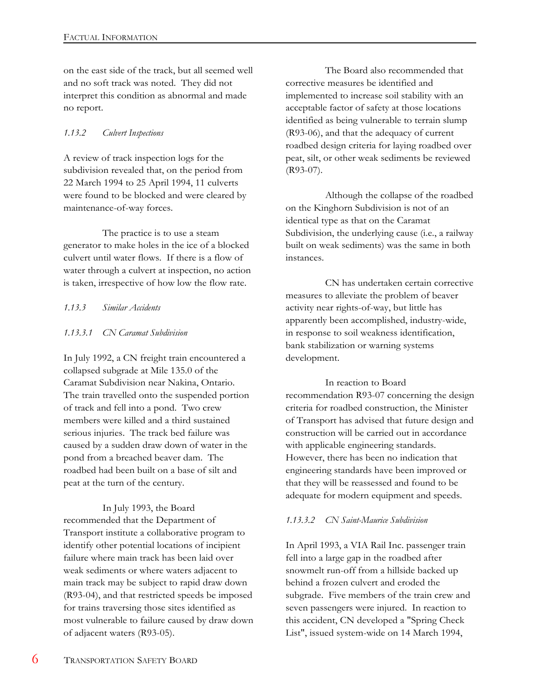on the east side of the track, but all seemed well and no soft track was noted. They did not interpret this condition as abnormal and made no report.

#### *1.13.2 Culvert Inspections*

A review of track inspection logs for the subdivision revealed that, on the period from 22 March 1994 to 25 April 1994, 11 culverts were found to be blocked and were cleared by maintenance-of-way forces.

The practice is to use a steam generator to make holes in the ice of a blocked culvert until water flows. If there is a flow of water through a culvert at inspection, no action is taken, irrespective of how low the flow rate.

#### *1.13.3 Similar Accidents*

#### *1.13.3.1 CN Caramat Subdivision*

In July 1992, a CN freight train encountered a collapsed subgrade at Mile 135.0 of the Caramat Subdivision near Nakina, Ontario. The train travelled onto the suspended portion of track and fell into a pond. Two crew members were killed and a third sustained serious injuries. The track bed failure was caused by a sudden draw down of water in the pond from a breached beaver dam. The roadbed had been built on a base of silt and peat at the turn of the century.

In July 1993, the Board recommended that the Department of Transport institute a collaborative program to identify other potential locations of incipient failure where main track has been laid over weak sediments or where waters adjacent to main track may be subject to rapid draw down (R93-04), and that restricted speeds be imposed for trains traversing those sites identified as most vulnerable to failure caused by draw down of adjacent waters (R93-05).

The Board also recommended that corrective measures be identified and implemented to increase soil stability with an acceptable factor of safety at those locations identified as being vulnerable to terrain slump (R93-06), and that the adequacy of current roadbed design criteria for laying roadbed over peat, silt, or other weak sediments be reviewed (R93-07).

Although the collapse of the roadbed on the Kinghorn Subdivision is not of an identical type as that on the Caramat Subdivision, the underlying cause (i.e., a railway built on weak sediments) was the same in both instances.

CN has undertaken certain corrective measures to alleviate the problem of beaver activity near rights-of-way, but little has apparently been accomplished, industry-wide, in response to soil weakness identification, bank stabilization or warning systems development.

In reaction to Board recommendation R93-07 concerning the design criteria for roadbed construction, the Minister of Transport has advised that future design and construction will be carried out in accordance with applicable engineering standards. However, there has been no indication that engineering standards have been improved or that they will be reassessed and found to be adequate for modern equipment and speeds.

#### *1.13.3.2 CN Saint-Maurice Subdivision*

In April 1993, a VIA Rail Inc. passenger train fell into a large gap in the roadbed after snowmelt run-off from a hillside backed up behind a frozen culvert and eroded the subgrade. Five members of the train crew and seven passengers were injured. In reaction to this accident, CN developed a "Spring Check List", issued system-wide on 14 March 1994,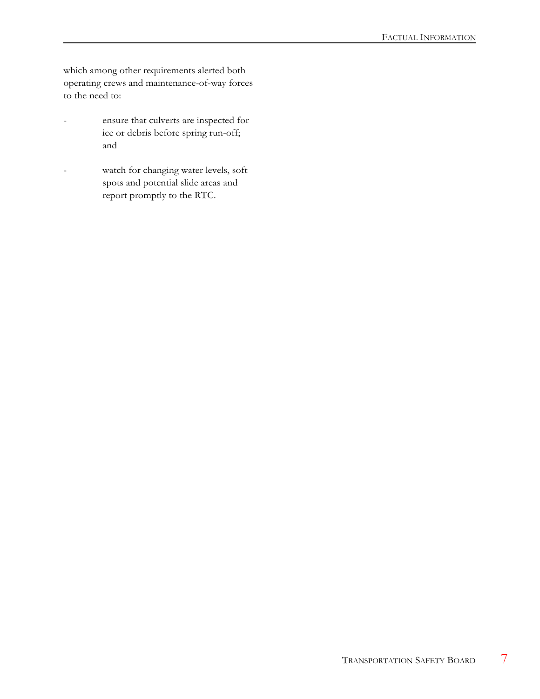which among other requirements alerted both operating crews and maintenance-of-way forces to the need to:

- ensure that culverts are inspected for ice or debris before spring run-off; and
- watch for changing water levels, soft spots and potential slide areas and report promptly to the RTC.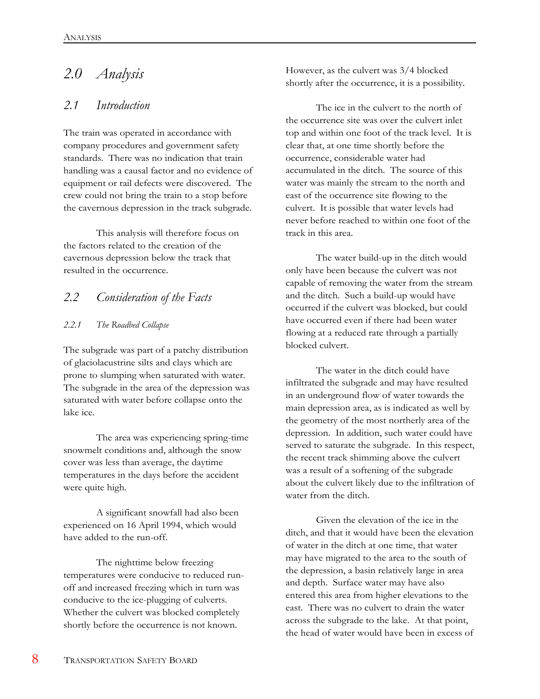# *2.0 Analysis*

#### *2.1 Introduction*

The train was operated in accordance with company procedures and government safety standards. There was no indication that train handling was a causal factor and no evidence of equipment or rail defects were discovered. The crew could not bring the train to a stop before the cavernous depression in the track subgrade.

This analysis will therefore focus on the factors related to the creation of the cavernous depression below the track that resulted in the occurrence.

### *2.2 Consideration of the Facts*

#### *2.2.1 The Roadbed Collapse*

The subgrade was part of a patchy distribution of glaciolacustrine silts and clays which are prone to slumping when saturated with water. The subgrade in the area of the depression was saturated with water before collapse onto the lake ice.

The area was experiencing spring-time snowmelt conditions and, although the snow cover was less than average, the daytime temperatures in the days before the accident were quite high.

A significant snowfall had also been experienced on 16 April 1994, which would have added to the run-off.

The nighttime below freezing temperatures were conducive to reduced runoff and increased freezing which in turn was conducive to the ice-plugging of culverts. Whether the culvert was blocked completely shortly before the occurrence is not known.

However, as the culvert was 3/4 blocked shortly after the occurrence, it is a possibility.

The ice in the culvert to the north of the occurrence site was over the culvert inlet top and within one foot of the track level. It is clear that, at one time shortly before the occurrence, considerable water had accumulated in the ditch. The source of this water was mainly the stream to the north and east of the occurrence site flowing to the culvert. It is possible that water levels had never before reached to within one foot of the track in this area.

The water build-up in the ditch would only have been because the culvert was not capable of removing the water from the stream and the ditch. Such a build-up would have occurred if the culvert was blocked, but could have occurred even if there had been water flowing at a reduced rate through a partially blocked culvert.

The water in the ditch could have infiltrated the subgrade and may have resulted in an underground flow of water towards the main depression area, as is indicated as well by the geometry of the most northerly area of the depression. In addition, such water could have served to saturate the subgrade. In this respect, the recent track shimming above the culvert was a result of a softening of the subgrade about the culvert likely due to the infiltration of water from the ditch.

Given the elevation of the ice in the ditch, and that it would have been the elevation of water in the ditch at one time, that water may have migrated to the area to the south of the depression, a basin relatively large in area and depth. Surface water may have also entered this area from higher elevations to the east. There was no culvert to drain the water across the subgrade to the lake. At that point, the head of water would have been in excess of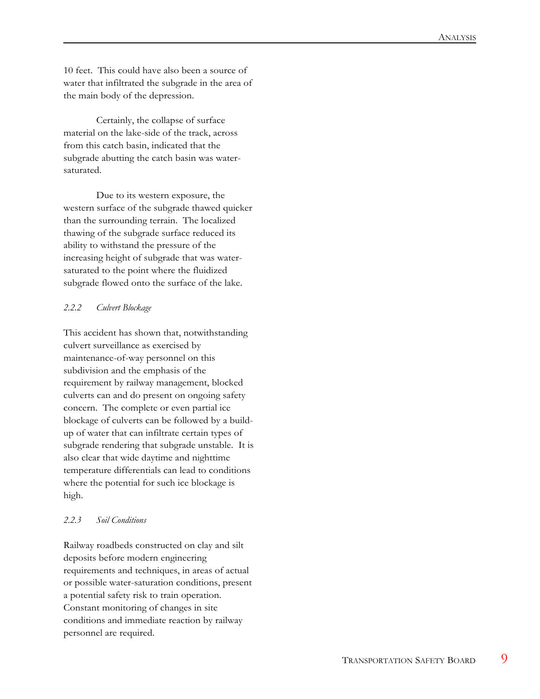10 feet. This could have also been a source of water that infiltrated the subgrade in the area of the main body of the depression.

Certainly, the collapse of surface material on the lake-side of the track, across from this catch basin, indicated that the subgrade abutting the catch basin was watersaturated.

Due to its western exposure, the western surface of the subgrade thawed quicker than the surrounding terrain. The localized thawing of the subgrade surface reduced its ability to withstand the pressure of the increasing height of subgrade that was watersaturated to the point where the fluidized subgrade flowed onto the surface of the lake.

#### *2.2.2 Culvert Blockage*

This accident has shown that, notwithstanding culvert surveillance as exercised by maintenance-of-way personnel on this subdivision and the emphasis of the requirement by railway management, blocked culverts can and do present on ongoing safety concern. The complete or even partial ice blockage of culverts can be followed by a buildup of water that can infiltrate certain types of subgrade rendering that subgrade unstable. It is also clear that wide daytime and nighttime temperature differentials can lead to conditions where the potential for such ice blockage is high.

#### *2.2.3 Soil Conditions*

Railway roadbeds constructed on clay and silt deposits before modern engineering requirements and techniques, in areas of actual or possible water-saturation conditions, present a potential safety risk to train operation. Constant monitoring of changes in site conditions and immediate reaction by railway personnel are required.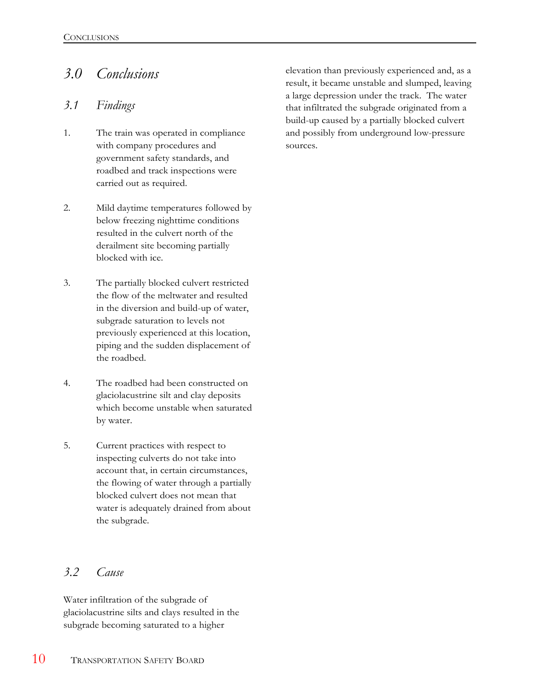# *3.0 Conclusions*

### *3.1 Findings*

- 1. The train was operated in compliance with company procedures and government safety standards, and roadbed and track inspections were carried out as required.
- 2. Mild daytime temperatures followed by below freezing nighttime conditions resulted in the culvert north of the derailment site becoming partially blocked with ice.
- 3. The partially blocked culvert restricted the flow of the meltwater and resulted in the diversion and build-up of water, subgrade saturation to levels not previously experienced at this location, piping and the sudden displacement of the roadbed.
- 4. The roadbed had been constructed on glaciolacustrine silt and clay deposits which become unstable when saturated by water.
- 5. Current practices with respect to inspecting culverts do not take into account that, in certain circumstances, the flowing of water through a partially blocked culvert does not mean that water is adequately drained from about the subgrade.

### *3.2 Cause*

Water infiltration of the subgrade of glaciolacustrine silts and clays resulted in the subgrade becoming saturated to a higher

elevation than previously experienced and, as a result, it became unstable and slumped, leaving a large depression under the track. The water that infiltrated the subgrade originated from a build-up caused by a partially blocked culvert and possibly from underground low-pressure sources.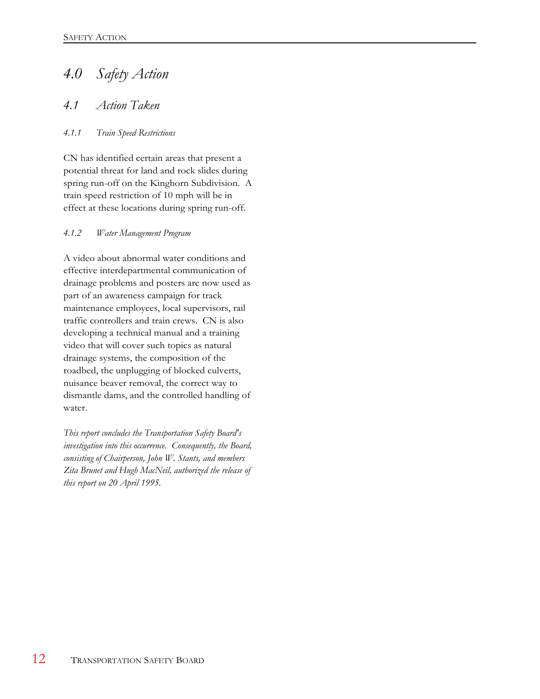# *4.0 Safety Action*

### *4.1 Action Taken*

#### *4.1.1 Train Speed Restrictions*

CN has identified certain areas that present a potential threat for land and rock slides during spring run-off on the Kinghorn Subdivision. A train speed restriction of 10 mph will be in effect at these locations during spring run-off.

#### *4.1.2 Water Management Program*

A video about abnormal water conditions and effective interdepartmental communication of drainage problems and posters are now used as part of an awareness campaign for track maintenance employees, local supervisors, rail traffic controllers and train crews. CN is also developing a technical manual and a training video that will cover such topics as natural drainage systems, the composition of the roadbed, the unplugging of blocked culverts, nuisance beaver removal, the correct way to dismantle dams, and the controlled handling of water.

*This report concludes the Transportation Safety Board's investigation into this occurrence. Consequently, the Board, consisting of Chairperson, John W. Stants, and members Zita Brunet and Hugh MacNeil, authorized the release of this report on 20 April 1995.*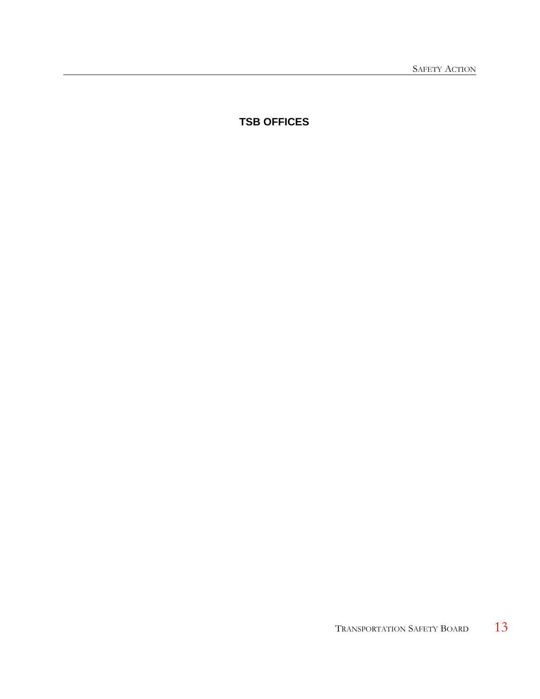**TSB OFFICES**